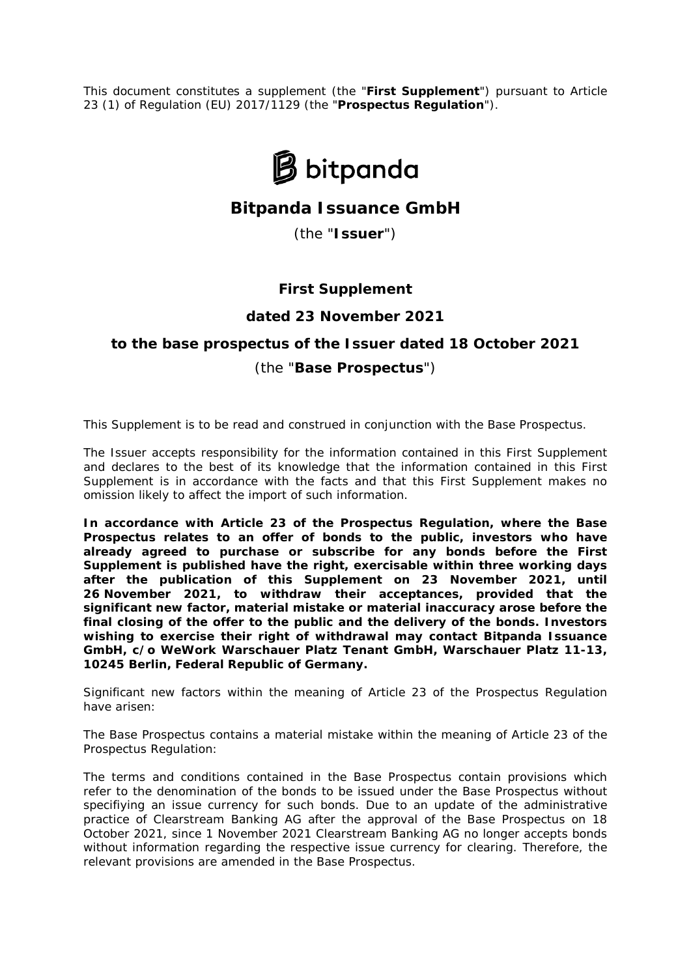This document constitutes a supplement (the "**First Supplement**") pursuant to Article 23 (1) of Regulation (EU) 2017/1129 (the "**Prospectus Regulation**").



# **Bitpanda Issuance GmbH**

(the "**Issuer**")

### **First Supplement**

### **dated 23 November 2021**

# **to the base prospectus of the Issuer dated 18 October 2021** (the "**Base Prospectus**")

This Supplement is to be read and construed in conjunction with the Base Prospectus.

The Issuer accepts responsibility for the information contained in this First Supplement and declares to the best of its knowledge that the information contained in this First Supplement is in accordance with the facts and that this First Supplement makes no omission likely to affect the import of such information.

**In accordance with Article 23 of the Prospectus Regulation, where the Base Prospectus relates to an offer of bonds to the public, investors who have already agreed to purchase or subscribe for any bonds before the First Supplement is published have the right, exercisable within three working days after the publication of this Supplement on 23 November 2021, until 26 November 2021, to withdraw their acceptances, provided that the significant new factor, material mistake or material inaccuracy arose before the final closing of the offer to the public and the delivery of the bonds. Investors wishing to exercise their right of withdrawal may contact Bitpanda Issuance GmbH, c/o WeWork Warschauer Platz Tenant GmbH, Warschauer Platz 11-13, 10245 Berlin, Federal Republic of Germany.**

Significant new factors within the meaning of Article 23 of the Prospectus Regulation have arisen:

The Base Prospectus contains a material mistake within the meaning of Article 23 of the Prospectus Regulation:

The terms and conditions contained in the Base Prospectus contain provisions which refer to the denomination of the bonds to be issued under the Base Prospectus without specifiying an issue currency for such bonds. Due to an update of the administrative practice of Clearstream Banking AG after the approval of the Base Prospectus on 18 October 2021, since 1 November 2021 Clearstream Banking AG no longer accepts bonds without information regarding the respective issue currency for clearing. Therefore, the relevant provisions are amended in the Base Prospectus.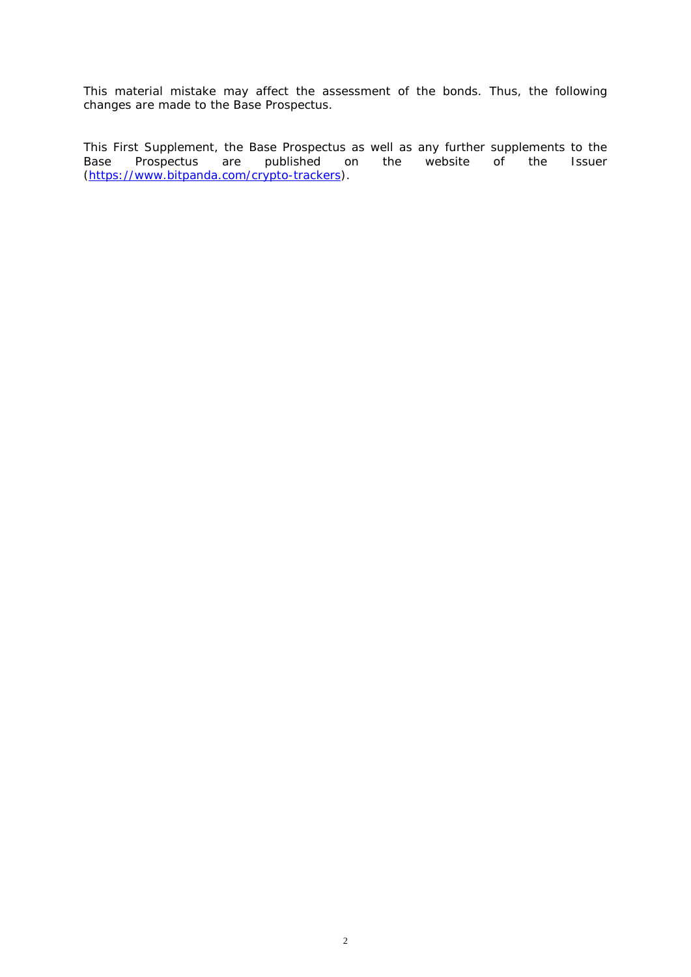This material mistake may affect the assessment of the bonds. Thus, the following changes are made to the Base Prospectus.

This First Supplement, the Base Prospectus as well as any further supplements to the Base Prospectus are published on the website of the Issuer Base Prospectus are published on the website of the Issuer [\(https://www.bitpanda.com/crypto-trackers\)](https://www.bitpanda.com/crypto-trackers).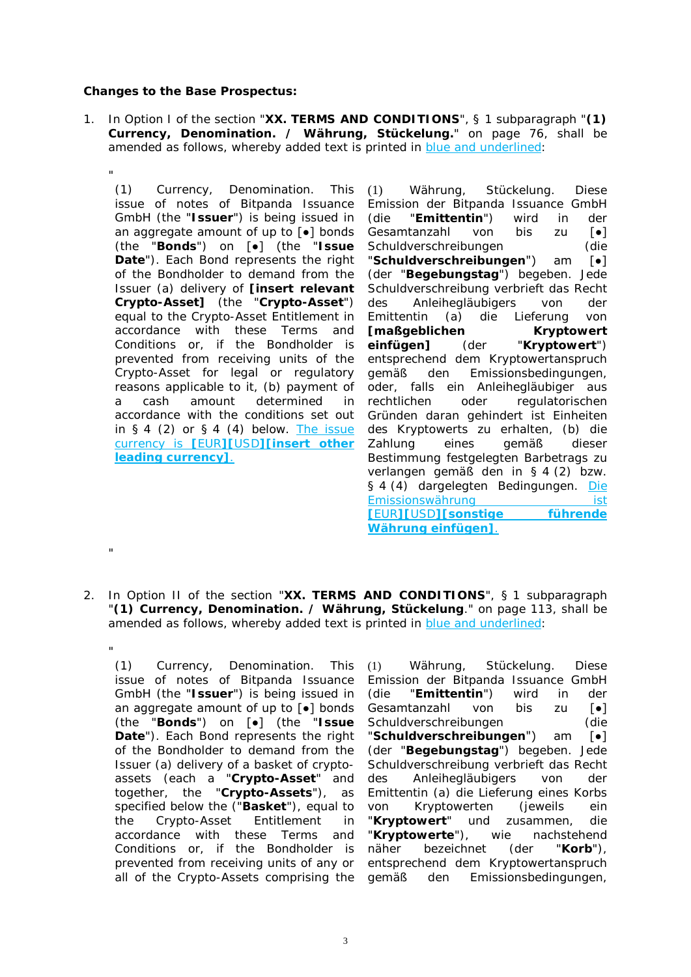#### **Changes to the Base Prospectus:**

1. In Option I of the section "**XX. TERMS AND CONDITIONS**", § 1 subparagraph "**(1)** *Currency, Denomination. / Währung, Stückelung.*" on page 76, shall be amended as follows, whereby added text is printed in blue and underlined:

" (1) *Currency, Denomination*. This issue of notes of Bitpanda Issuance GmbH (the "**Issuer**") is being issued in an aggregate amount of up to [●] bonds (the "**Bonds**") on [●] (the "**Issue Date**"). Each Bond represents the right of the Bondholder to demand from the Issuer (a) delivery of **[***insert relevant Crypto-Asset***]** (the "**Crypto-Asset**") equal to the Crypto-Asset Entitlement in accordance with these Terms and Conditions or, if the Bondholder is prevented from receiving units of the Crypto-Asset for legal or regulatory reasons applicable to it, (b) payment of a cash amount determined in accordance with the conditions set out in  $§ 4$  (2) or  $§ 4$  (4) below. The issue currency is **[**EUR**][**USD**][***insert other leading currency***]**.

(1) *Währung, Stückelung*. Diese Emission der Bitpanda Issuance GmbH (die "**Emittentin**") wird in der Gesamtanzahl von bis zu [●] Schuldverschreibungen (die "**Schuldverschreibungen**") am [●] (der "**Begebungstag**") begeben. Jede Schuldverschreibung verbrieft das Recht des Anleihegläubigers von der Emittentin (a) die Lieferung von **[***maßgeblichen Kryptowert einfügen***]** (der "**Kryptowert**") entsprechend dem Kryptowertanspruch gemäß den Emissionsbedingungen, oder, falls ein Anleihegläubiger aus rechtlichen oder regulatorischen Gründen daran gehindert ist Einheiten des Kryptowerts zu erhalten, (b) die Zahlung eines gemäß dieser Bestimmung festgelegten Barbetrags zu verlangen gemäß den in § 4 (2) bzw. § 4 (4) dargelegten Bedingungen. Die Emissionswährung ist **[**EUR**][**USD**][***sonstige führende Währung einfügen***]**.

2. In Option II of the section "**XX. TERMS AND CONDITIONS**", § 1 subparagraph "**(1)** *Currency, Denomination. / Währung, Stückelung*." on page 113, shall be amended as follows, whereby added text is printed in blue and underlined:

" (1) *Currency, Denomination.* This issue of notes of Bitpanda Issuance GmbH (the "**Issuer**") is being issued in an aggregate amount of up to [●] bonds (the "**Bonds**") on [●] (the "**Issue Date**"). Each Bond represents the right of the Bondholder to demand from the Issuer (a) delivery of a basket of cryptoassets (each a "**Crypto-Asset**" and together, the "**Crypto-Assets**"), as specified below the *(*"**Basket**"), equal to the Crypto-Asset Entitlement in accordance with these Terms and Conditions or, if the Bondholder is prevented from receiving units of any or all of the Crypto-Assets comprising the

.,

(1) *Währung, Stückelung*. Diese Emission der Bitpanda Issuance GmbH (die "**Emittentin**") wird in der Gesamtanzahl von bis zu [●] Schuldverschreibungen (die "**Schuldverschreibungen**") am [●] (der "**Begebungstag**") begeben. Jede Schuldverschreibung verbrieft das Recht des Anleihegläubigers von der Emittentin (a) die Lieferung eines Korbs von Kryptowerten (jeweils ein "**Kryptowert**" und zusammen, die "**Kryptowerte**"), wie nachstehend näher bezeichnet (der "**Korb**"), entsprechend dem Kryptowertanspruch gemäß den Emissionsbedingungen,